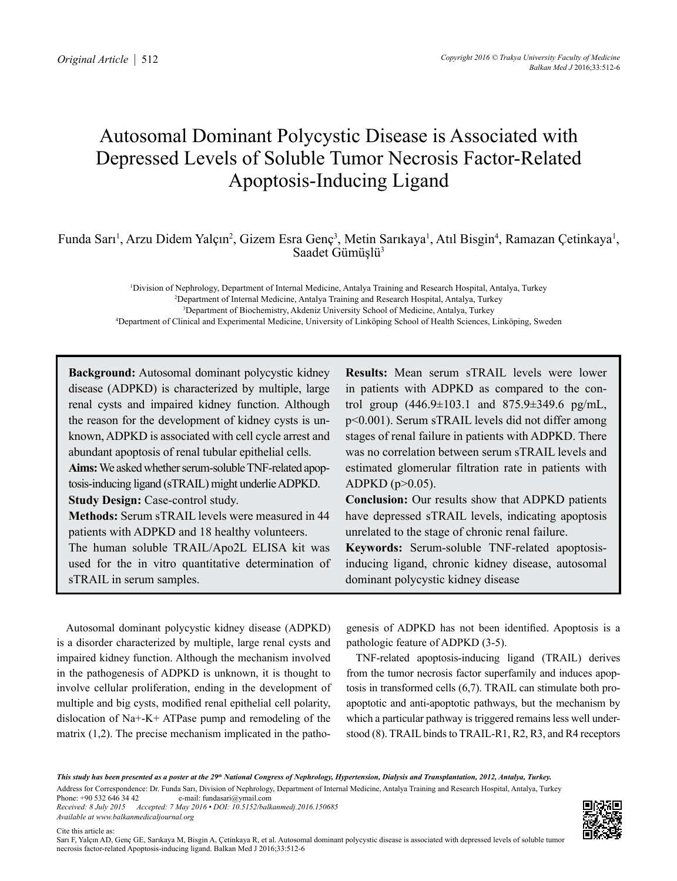# Autosomal Dominant Polycystic Disease is Associated with Depressed Levels of Soluble Tumor Necrosis Factor-Related Apoptosis-Inducing Ligand

Funda Sarı<sup>1</sup>, Arzu Didem Yalçın<sup>2</sup>, Gizem Esra Genç<sup>3</sup>, Metin Sarıkaya<sup>1</sup>, Atıl Bisgin<sup>4</sup>, Ramazan Çetinkaya<sup>1</sup>, Saadet Gümüşlü<sup>3</sup>

 Division of Nephrology, Department of Internal Medicine, Antalya Training and Research Hospital, Antalya, Turkey Department of Internal Medicine, Antalya Training and Research Hospital, Antalya, Turkey Department of Biochemistry, Akdeniz University School of Medicine, Antalya, Turkey Department of Clinical and Experimental Medicine, University of Linköping School of Health Sciences, Linköping, Sweden

**Background:** Autosomal dominant polycystic kidney disease (ADPKD) is characterized by multiple, large renal cysts and impaired kidney function. Although the reason for the development of kidney cysts is unknown, ADPKD is associated with cell cycle arrest and abundant apoptosis of renal tubular epithelial cells. **Aims:** We asked whether serum-soluble TNF-related apoptosis-inducing ligand (sTRAIL) might underlie ADPKD. **Study Design:** Case-control study. **Methods:** Serum sTRAIL levels were measured in 44 patients with ADPKD and 18 healthy volunteers. The human soluble TRAIL/Apo2L ELISA kit was used for the in vitro quantitative determination of sTRAIL in serum samples.

**Results:** Mean serum sTRAIL levels were lower in patients with ADPKD as compared to the control group (446.9±103.1 and 875.9±349.6 pg/mL, p<0.001). Serum sTRAIL levels did not differ among stages of renal failure in patients with ADPKD. There was no correlation between serum sTRAIL levels and estimated glomerular filtration rate in patients with  $ADPKD (p>0.05)$ .

**Conclusion:** Our results show that ADPKD patients have depressed sTRAIL levels, indicating apoptosis unrelated to the stage of chronic renal failure.

**Keywords:** Serum-soluble TNF-related apoptosisinducing ligand, chronic kidney disease, autosomal dominant polycystic kidney disease

Autosomal dominant polycystic kidney disease (ADPKD) is a disorder characterized by multiple, large renal cysts and impaired kidney function. Although the mechanism involved in the pathogenesis of ADPKD is unknown, it is thought to involve cellular proliferation, ending in the development of multiple and big cysts, modified renal epithelial cell polarity, dislocation of Na+-K+ ATPase pump and remodeling of the matrix (1,2). The precise mechanism implicated in the patho-

genesis of ADPKD has not been identified. Apoptosis is a pathologic feature of ADPKD (3-5).

TNF-related apoptosis-inducing ligand (TRAIL) derives from the tumor necrosis factor superfamily and induces apoptosis in transformed cells (6,7). TRAIL can stimulate both proapoptotic and anti-apoptotic pathways, but the mechanism by which a particular pathway is triggered remains less well understood (8). TRAIL binds to TRAIL-R1, R2, R3, and R4 receptors

This study has been presented as a poster at the 29<sup>th</sup> National Congress of Nephrology, Hypertension, Dialysis and Transplantation, 2012, Antalya, Turkey. Address for Correspondence: Dr. Funda Sarı, Division of Nephrology, Department of Internal Medicine, Antalya Training and Research Hospital, Antalya, Turkey<br>Phone: +90.532.646.34.42<br> e-mail: fundasari@ymail.com *Received: 8 July 2015 Accepted: 7 May 2016 • DOI: 10.5152/balkanmedj.2016.150685* 

*Available at www.balkanmedicaljournal.org*

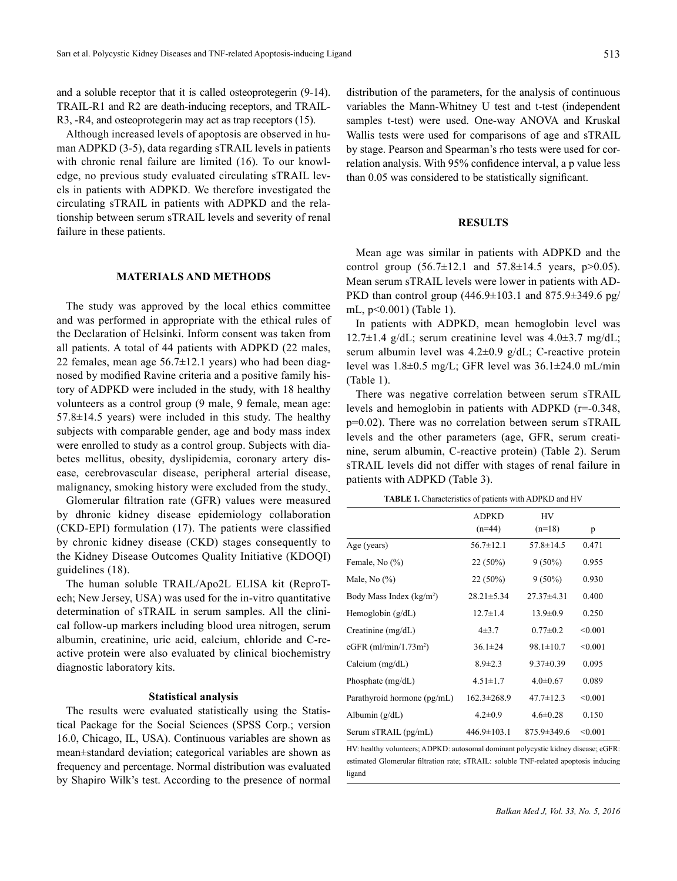and a soluble receptor that it is called osteoprotegerin (9-14). TRAIL-R1 and R2 are death-inducing receptors, and TRAIL-R3, -R4, and osteoprotegerin may act as trap receptors (15).

Although increased levels of apoptosis are observed in human ADPKD (3-5), data regarding sTRAIL levels in patients with chronic renal failure are limited (16). To our knowledge, no previous study evaluated circulating sTRAIL levels in patients with ADPKD. We therefore investigated the circulating sTRAIL in patients with ADPKD and the relationship between serum sTRAIL levels and severity of renal failure in these patients.

## **MATERIALS AND METHODS**

The study was approved by the local ethics committee and was performed in appropriate with the ethical rules of the Declaration of Helsinki. Inform consent was taken from all patients. A total of 44 patients with ADPKD (22 males, 22 females, mean age  $56.7 \pm 12.1$  years) who had been diagnosed by modified Ravine criteria and a positive family history of ADPKD were included in the study, with 18 healthy volunteers as a control group (9 male, 9 female, mean age:  $57.8 \pm 14.5$  years) were included in this study. The healthy subjects with comparable gender, age and body mass index were enrolled to study as a control group. Subjects with diabetes mellitus, obesity, dyslipidemia, coronary artery disease, cerebrovascular disease, peripheral arterial disease, malignancy, smoking history were excluded from the study.

Glomerular filtration rate (GFR) values were measured by dhronic kidney disease epidemiology collaboration (CKD-EPI) formulation (17). The patients were classified by chronic kidney disease (CKD) stages consequently to the Kidney Disease Outcomes Quality Initiative (KDOQI) guidelines (18).

The human soluble TRAIL/Apo2L ELISA kit (ReproTech; New Jersey, USA) was used for the in-vitro quantitative determination of sTRAIL in serum samples. All the clinical follow-up markers including blood urea nitrogen, serum albumin, creatinine, uric acid, calcium, chloride and C-reactive protein were also evaluated by clinical biochemistry diagnostic laboratory kits.

### **Statistical analysis**

The results were evaluated statistically using the Statistical Package for the Social Sciences (SPSS Corp.; version 16.0, Chicago, IL, USA). Continuous variables are shown as mean±standard deviation; categorical variables are shown as frequency and percentage. Normal distribution was evaluated by Shapiro Wilk's test. According to the presence of normal

distribution of the parameters, for the analysis of continuous variables the Mann-Whitney U test and t-test (independent samples t-test) were used. One-way ANOVA and Kruskal Wallis tests were used for comparisons of age and sTRAIL by stage. Pearson and Spearman's rho tests were used for correlation analysis. With 95% confidence interval, a p value less than 0.05 was considered to be statistically significant.

## **RESULTS**

Mean age was similar in patients with ADPKD and the control group  $(56.7 \pm 12.1$  and  $57.8 \pm 14.5$  years,  $p > 0.05$ ). Mean serum sTRAIL levels were lower in patients with AD-PKD than control group  $(446.9 \pm 103.1$  and  $875.9 \pm 349.6$  pg/ mL, p<0.001) (Table 1).

In patients with ADPKD, mean hemoglobin level was 12.7 $\pm$ 1.4 g/dL; serum creatinine level was 4.0 $\pm$ 3.7 mg/dL; serum albumin level was  $4.2\pm0.9$  g/dL; C-reactive protein level was 1.8±0.5 mg/L; GFR level was 36.1±24.0 mL/min (Table 1).

There was negative correlation between serum sTRAIL levels and hemoglobin in patients with ADPKD (r=-0.348, p=0.02). There was no correlation between serum sTRAIL levels and the other parameters (age, GFR, serum creatinine, serum albumin, C-reactive protein) (Table 2). Serum sTRAIL levels did not differ with stages of renal failure in patients with ADPKD (Table 3).

**TABLE 1.** Characteristics of patients with ADPKD and HV

|                                      | <b>ADPKD</b><br>$(n=44)$ | HV<br>$(n=18)$    | p       |  |
|--------------------------------------|--------------------------|-------------------|---------|--|
| Age (years)                          | $56.7 \pm 12.1$          | $57.8 \pm 14.5$   | 0.471   |  |
| Female, No $(\% )$                   | $22(50\%)$               | $9(50\%)$         | 0.955   |  |
| Male, No $(\%)$                      | $22(50\%)$               | $9(50\%)$         | 0.930   |  |
| Body Mass Index (kg/m <sup>2</sup> ) | $28.21 \pm 5.34$         | $27.37\pm4.31$    | 0.400   |  |
| Hemoglobin (g/dL)                    | $12.7 \pm 1.4$           | $13.9 \pm 0.9$    | 0.250   |  |
| Creatinine $(mg/dL)$                 | $4\pm3.7$                | $0.77 \pm 0.2$    | < 0.001 |  |
| eGFR $(ml/min/1.73m2)$               | $36.1 \pm 24$            | $98.1 \pm 10.7$   | < 0.001 |  |
| Calcium $(mg/dL)$                    | $8.9 \pm 2.3$            | $9.37 \pm 0.39$   | 0.095   |  |
| Phosphate $(mg/dL)$                  | $4.51 \pm 1.7$           | $4.0 \pm 0.67$    | 0.089   |  |
| Parathyroid hormone (pg/mL)          | $162.3 \pm 268.9$        | $47.7 \pm 12.3$   | < 0.001 |  |
| Albumin $(g/dL)$                     | $4.2 \pm 0.9$            | $4.6 \pm 0.28$    | 0.150   |  |
| Serum sTRAIL (pg/mL)                 | $446.9 \pm 103.1$        | $875.9 \pm 349.6$ | < 0.001 |  |

HV: healthy volunteers; ADPKD: autosomal dominant polycystic kidney disease; eGFR: estimated Glomerular filtration rate; sTRAIL: soluble TNF-related apoptosis inducing ligand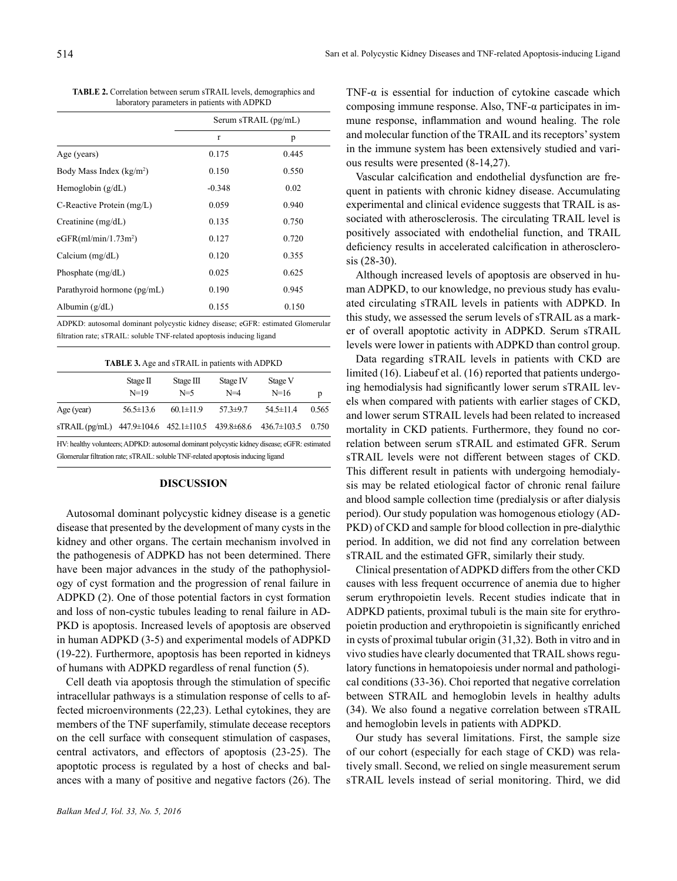**TABLE 2.** Correlation between serum sTRAIL levels, demographics and laboratory parameters in patients with ADPKD

|                                  | Serum sTRAIL (pg/mL) |       |  |
|----------------------------------|----------------------|-------|--|
|                                  | $\mathbf{r}$         | p     |  |
| Age (years)                      | 0.175                | 0.445 |  |
| Body Mass Index $(kg/m2)$        | 0.150                | 0.550 |  |
| Hemoglobin $(g/dL)$              | $-0.348$             | 0.02  |  |
| C-Reactive Protein (mg/L)        | 0.059                | 0.940 |  |
| Creatinine $(mg/dL)$             | 0.135                | 0.750 |  |
| eGFR(ml/min/1.73m <sup>2</sup> ) | 0.127                | 0.720 |  |
| Calcium $(mg/dL)$                | 0.120                | 0.355 |  |
| Phosphate $(mg/dL)$              | 0.025                | 0.625 |  |
| Parathyroid hormone (pg/mL)      | 0.190                | 0.945 |  |
| Albumin $(g/dL)$                 | 0.155                | 0.150 |  |

ADPKD: autosomal dominant polycystic kidney disease; eGFR: estimated Glomerular filtration rate; sTRAIL: soluble TNF-related apoptosis inducing ligand

| <b>TABLE 3.</b> Age and sTRAIL in patients with ADPKD                                        |                    |                                                      |                   |                   |       |  |  |  |
|----------------------------------------------------------------------------------------------|--------------------|------------------------------------------------------|-------------------|-------------------|-------|--|--|--|
|                                                                                              | Stage II<br>$N=19$ | Stage III<br>$N=5$                                   | Stage IV<br>$N=4$ | Stage V<br>$N=16$ | p     |  |  |  |
| Age (year)                                                                                   | $56.5 \pm 13.6$    | $60.1 \pm 11.9$                                      | $57.3 + 9.7$      | $54.5 \pm 11.4$   | 0.565 |  |  |  |
| $\overline{\text{STRAIL}}$ (pg/mL)                                                           |                    | $447.9 \pm 104.6$ $452.1 \pm 110.5$ $439.8 \pm 68.6$ |                   | $436.7 \pm 103.5$ | 0.750 |  |  |  |
| HV: healthy volunteers; ADPKD: autosomal dominant polycystic kidney disease; eGFR: estimated |                    |                                                      |                   |                   |       |  |  |  |
| Glomerular filtration rate; sTRAIL: soluble TNF-related apoptosis inducing ligand            |                    |                                                      |                   |                   |       |  |  |  |

# **DISCUSSION**

Autosomal dominant polycystic kidney disease is a genetic disease that presented by the development of many cysts in the kidney and other organs. The certain mechanism involved in the pathogenesis of ADPKD has not been determined. There have been major advances in the study of the pathophysiology of cyst formation and the progression of renal failure in ADPKD (2). One of those potential factors in cyst formation and loss of non-cystic tubules leading to renal failure in AD-PKD is apoptosis. Increased levels of apoptosis are observed in human ADPKD (3-5) and experimental models of ADPKD (19-22). Furthermore, apoptosis has been reported in kidneys of humans with ADPKD regardless of renal function (5).

Cell death via apoptosis through the stimulation of specific intracellular pathways is a stimulation response of cells to affected microenvironments (22,23). Lethal cytokines, they are members of the TNF superfamily, stimulate decease receptors on the cell surface with consequent stimulation of caspases, central activators, and effectors of apoptosis (23-25). The apoptotic process is regulated by a host of checks and balances with a many of positive and negative factors (26). The

TNF- $\alpha$  is essential for induction of cytokine cascade which composing immune response. Also, TNF-α participates in immune response, inflammation and wound healing. The role and molecular function of the TRAIL and its receptors' system in the immune system has been extensively studied and various results were presented (8-14,27).

Vascular calcification and endothelial dysfunction are frequent in patients with chronic kidney disease. Accumulating experimental and clinical evidence suggests that TRAIL is associated with atherosclerosis. The circulating TRAIL level is positively associated with endothelial function, and TRAIL deficiency results in accelerated calcification in atherosclerosis (28-30).

Although increased levels of apoptosis are observed in human ADPKD, to our knowledge, no previous study has evaluated circulating sTRAIL levels in patients with ADPKD. In this study, we assessed the serum levels of sTRAIL as a marker of overall apoptotic activity in ADPKD. Serum sTRAIL levels were lower in patients with ADPKD than control group.

Data regarding sTRAIL levels in patients with CKD are limited (16). Liabeuf et al. (16) reported that patients undergoing hemodialysis had significantly lower serum sTRAIL levels when compared with patients with earlier stages of CKD, and lower serum STRAIL levels had been related to increased mortality in CKD patients. Furthermore, they found no correlation between serum sTRAIL and estimated GFR. Serum sTRAIL levels were not different between stages of CKD. This different result in patients with undergoing hemodialysis may be related etiological factor of chronic renal failure and blood sample collection time (predialysis or after dialysis period). Our study population was homogenous etiology (AD-PKD) of CKD and sample for blood collection in pre-dialythic period. In addition, we did not find any correlation between sTRAIL and the estimated GFR, similarly their study.

Clinical presentation of ADPKD differs from the other CKD causes with less frequent occurrence of anemia due to higher serum erythropoietin levels. Recent studies indicate that in ADPKD patients, proximal tubuli is the main site for erythropoietin production and erythropoietin is significantly enriched in cysts of proximal tubular origin (31,32). Both in vitro and in vivo studies have clearly documented that TRAIL shows regulatory functions in hematopoiesis under normal and pathological conditions (33-36). Choi reported that negative correlation between STRAIL and hemoglobin levels in healthy adults (34). We also found a negative correlation between sTRAIL and hemoglobin levels in patients with ADPKD.

Our study has several limitations. First, the sample size of our cohort (especially for each stage of CKD) was relatively small. Second, we relied on single measurement serum sTRAIL levels instead of serial monitoring. Third, we did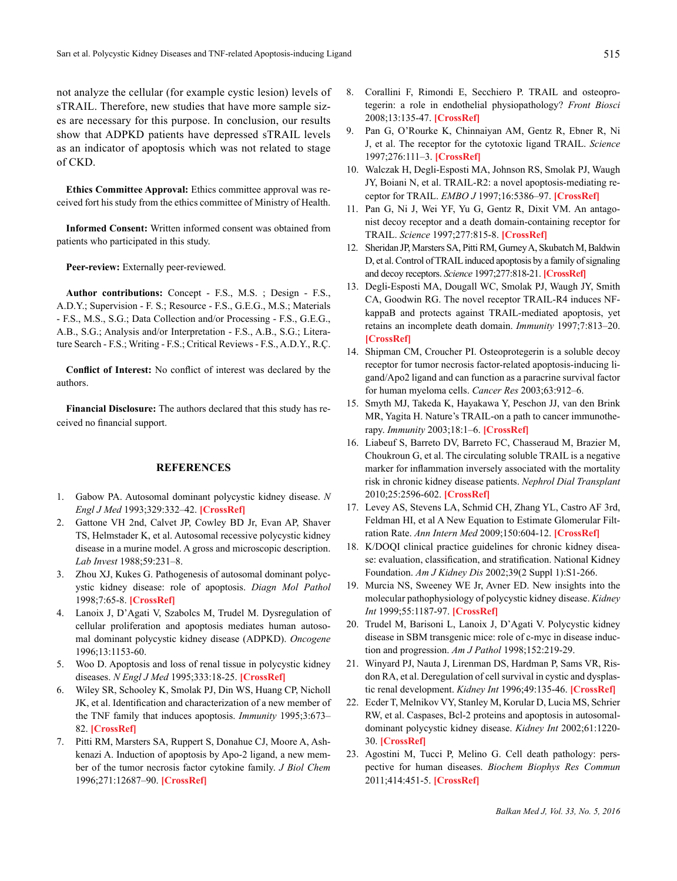not analyze the cellular (for example cystic lesion) levels of sTRAIL. Therefore, new studies that have more sample sizes are necessary for this purpose. In conclusion, our results show that ADPKD patients have depressed sTRAIL levels as an indicator of apoptosis which was not related to stage of CKD.

**Ethics Committee Approval:** Ethics committee approval was received fort his study from the ethics committee of Ministry of Health.

**Informed Consent:** Written informed consent was obtained from patients who participated in this study.

Peer-review: Externally peer-reviewed.

**Author contributions:** Concept - F.S., M.S. ; Design - F.S., A.D.Y.; Supervision - F. S.; Resource - F.S., G.E.G., M.S.; Materials - F.S., M.S., S.G.; Data Collection and/or Processing - F.S., G.E.G., A.B., S.G.; Analysis and/or Interpretation - F.S., A.B., S.G.; Literature Search - F.S.; Writing - F.S.; Critical Reviews - F.S., A.D.Y., R.Ç.

**Conflict of Interest:** No conflict of interest was declared by the authors.

**Financial Disclosure:** The authors declared that this study has received no financial support.

# **REFERENCES**

- 1. Gabow PA. Autosomal dominant polycystic kidney disease. *N Engl J Med* 1993;329:332–42. **[[CrossRef](http://dx.doi.org/10.1056/NEJM199307293290508)]**
- 2. Gattone VH 2nd, Calvet JP, Cowley BD Jr, Evan AP, Shaver TS, Helmstader K, et al. Autosomal recessive polycystic kidney disease in a murine model. A gross and microscopic description. *Lab Invest* 1988;59:231–8.
- 3. Zhou XJ, Kukes G. Pathogenesis of autosomal dominant polycystic kidney disease: role of apoptosis. *Diagn Mol Pathol*  1998;7:65-8. **[[CrossRef\]](http://dx.doi.org/10.1097/00019606-199804000-00001)**
- 4. Lanoix J, D'Agati V, Szabolcs M, Trudel M. Dysregulation of cellular proliferation and apoptosis mediates human autosomal dominant polycystic kidney disease (ADPKD). *Oncogene* 1996;13:1153-60.
- 5. Woo D. Apoptosis and loss of renal tissue in polycystic kidney diseases. *N Engl J Med* 1995;333:18-25. **[\[CrossRef](http://dx.doi.org/10.1056/NEJM199507063330104)]**
- 6. Wiley SR, Schooley K, Smolak PJ, Din WS, Huang CP, Nicholl JK, et al. Identification and characterization of a new member of the TNF family that induces apoptosis. *Immunity* 1995;3:673– 82. **[[CrossRef\]](http://dx.doi.org/10.1016/1074-7613(95)90057-8)**
- 7. Pitti RM, Marsters SA, Ruppert S, Donahue CJ, Moore A, Ashkenazi A. Induction of apoptosis by Apo-2 ligand, a new member of the tumor necrosis factor cytokine family. *J Biol Chem* 1996;271:12687–90. **[\[CrossRef](http://dx.doi.org/10.1074/jbc.271.22.12687)]**
- 8. Corallini F, Rimondi E, Secchiero P. TRAIL and osteoprotegerin: a role in endothelial physiopathology? *Front Biosci* 2008;13:135-47. **[[CrossRef](http://dx.doi.org/10.2741/2665)]**
- 9. Pan G, O'Rourke K, Chinnaiyan AM, Gentz R, Ebner R, Ni J, et al. The receptor for the cytotoxic ligand TRAIL. *Science*  1997;276:111–3. **[[CrossRef\]](http://dx.doi.org/10.1126/science.276.5309.111)**
- 10. Walczak H, Degli-Esposti MA, Johnson RS, Smolak PJ, Waugh JY, Boiani N, et al. TRAIL-R2: a novel apoptosis-mediating receptor for TRAIL. *EMBO J* 1997;16:5386–97. **[[CrossRef\]](http://dx.doi.org/10.1093/emboj/16.17.5386)**
- 11. Pan G, Ni J, Wei YF, Yu G, Gentz R, Dixit VM. An antagonist decoy receptor and a death domain-containing receptor for TRAIL. *Science* 1997;277:815-8. **[[CrossRef\]](http://dx.doi.org/10.1126/science.277.5327.815)**
- 12. Sheridan JP, Marsters SA, Pitti RM, Gurney A, Skubatch M, Baldwin D, et al. Control of TRAIL induced apoptosis by a family of signaling and decoy receptors. *Science* 1997;277:818-21. **[\[CrossRef](http://dx.doi.org/10.1126/science.277.5327.818)]**
- 13. Degli-Esposti MA, Dougall WC, Smolak PJ, Waugh JY, Smith CA, Goodwin RG. The novel receptor TRAIL-R4 induces NFkappaB and protects against TRAIL-mediated apoptosis, yet retains an incomplete death domain. *Immunity* 1997;7:813–20. **[[CrossRef](http://dx.doi.org/10.1016/S1074-7613(00)80399-4)]**
- 14. Shipman CM, Croucher PI. Osteoprotegerin is a soluble decoy receptor for tumor necrosis factor-related apoptosis-inducing ligand/Apo2 ligand and can function as a paracrine survival factor for human myeloma cells. *Cancer Res* 2003;63:912–6.
- 15. Smyth MJ, Takeda K, Hayakawa Y, Peschon JJ, van den Brink MR, Yagita H. Nature's TRAIL-on a path to cancer immunotherapy. *Immunity* 2003;18:1–6. **[[CrossRef](http://dx.doi.org/10.1016/S1074-7613(02)00502-2)]**
- 16. Liabeuf S, Barreto DV, Barreto FC, Chasseraud M, Brazier M, Choukroun G, et al. The circulating soluble TRAIL is a negative marker for inflammation inversely associated with the mortality risk in chronic kidney disease patients. *Nephrol Dial Transplant* 2010;25:2596-602. **[[CrossRef](http://dx.doi.org/10.1093/ndt/gfq042)]**
- 17. Levey AS, Stevens LA, Schmid CH, Zhang YL, Castro AF 3rd, Feldman HI, et al A New Equation to Estimate Glomerular Filtration Rate. *Ann Intern Med* 2009;150:604-12. **[[CrossRef](http://dx.doi.org/10.7326/0003-4819-150-9-200905050-00006)]**
- 18. K/DOQI clinical practice guidelines for chronic kidney disease: evaluation, classification, and stratification. National Kidney Foundation. *Am J Kidney Dis* 2002;39(2 Suppl 1):S1-266.
- 19. Murcia NS, Sweeney WE Jr, Avner ED. New insights into the molecular pathophysiology of polycystic kidney disease. *Kidney Int* 1999;55:1187-97. **[\[CrossRef\]](http://dx.doi.org/10.1046/j.1523-1755.1999.00370.x)**
- 20. Trudel M, Barisoni L, Lanoix J, D'Agati V. Polycystic kidney disease in SBM transgenic mice: role of c-myc in disease induction and progression. *Am J Pathol* 1998;152:219-29.
- 21. Winyard PJ, Nauta J, Lirenman DS, Hardman P, Sams VR, Risdon RA, et al. Deregulation of cell survival in cystic and dysplastic renal development. *Kidney Int* 1996;49:135-46. **[\[CrossRef\]](http://dx.doi.org/10.1038/ki.1996.18)**
- 22. Ecder T, Melnikov VY, Stanley M, Korular D, Lucia MS, Schrier RW, et al. Caspases, Bcl-2 proteins and apoptosis in autosomaldominant polycystic kidney disease. *Kidney Int* 2002;61:1220- 30. **[\[CrossRef\]](http://dx.doi.org/10.1046/j.1523-1755.2002.00250.x)**
- 23. Agostini M, Tucci P, Melino G. Cell death pathology: perspective for human diseases. *Biochem Biophys Res Commun* 2011;414:451-5. **[\[CrossRef\]](http://dx.doi.org/10.1016/j.bbrc.2011.09.081)**